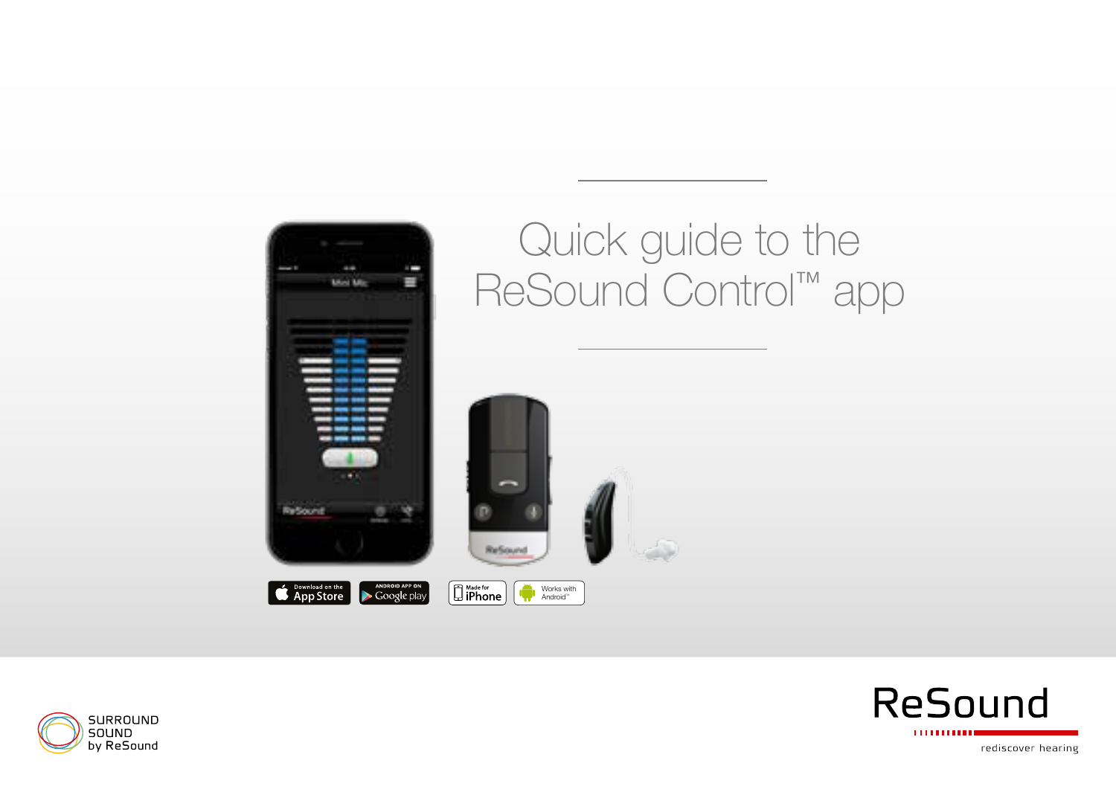

# Quick guide to the ReSound Control™ app







rediscover hearing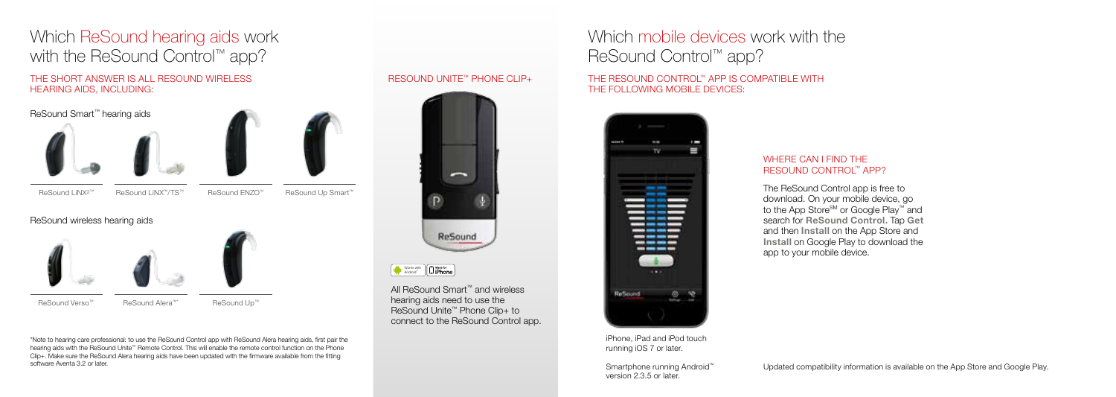## Which ReSound hearing aids work with the ReSound Control™ app?

### THE SHORT ANSWER IS ALL RESOUND WIRELESS HEARING AIDS, INCLUDING:

ReSound Smart™ hearing aids





ReSound LiNX2™ ReSound LiNX™/TS™ ReSound ENZO™ ReSound Up Smart™

### ReSound wireless hearing aids



\*Note to hearing care professional: to use the ReSound Control app with ReSound Alera hearing aids, first pair the hearing aids with the ReSound Unite™ Remote Control. This will enable the remote control function on the Phone Clip+. Make sure the ReSound Alera hearing aids have been updated with the firmware available from the fitting software Aventa 3.2 or later.

### RESOUND UNITE™ PHONE CLIP+



Works with<br>Android™

All ReSound Smart™ and wireless hearing aids need to use the ReSound Unite™ Phone Clip+ to connect to the ReSound Control app.

## Which mobile devices work with the ReSound Control™ app?

### THE RESOUND CONTROL™ APP IS COMPATIBLE WITH THE FOLLOWING MOBILE DEVICES:



#### iPhone, iPad and iPod touch running iOS 7 or later.

Smartphone running Android™ version 2.3.5 or later.

### WHERE CAN I FIND THE RESOUND CONTROL™ APP?

The ReSound Control app is free to download. On your mobile device, go to the App Store<sup>sM</sup> or Google Play™ and search for ReSound Control. Tap Get and then Install on the App Store and Install on Google Play to download the app to your mobile device.

Updated compatibility information is available on the App Store and Google Play.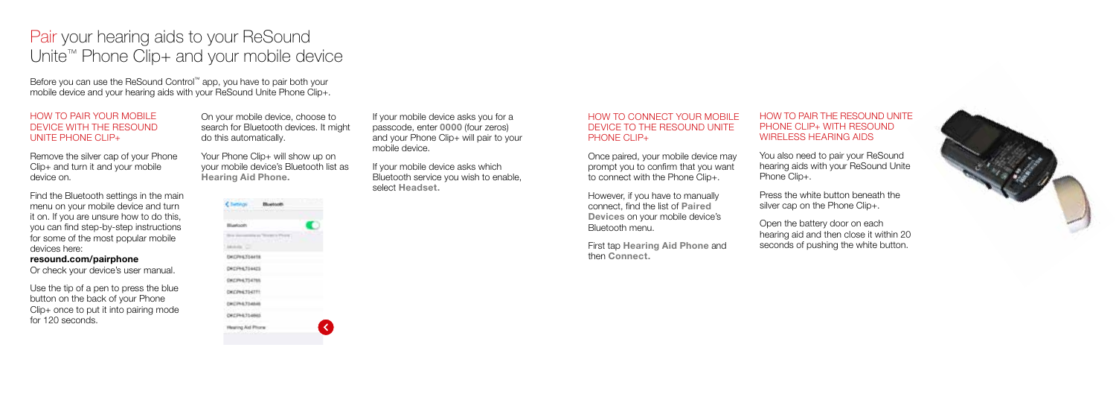## Pair your hearing aids to your ReSound Unite™ Phone Clip+ and your mobile device

Before you can use the ReSound Control™ app, you have to pair both your mobile device and your hearing aids with your ReSound Unite Phone Clip+.

### HOW TO PAIR YOUR MOBILE DEVICE WITH THE RESOUND UNITE PHONE CLIP+

Remove the silver cap of your Phone Clip+ and turn it and your mobile device on.

Find the Bluetooth settings in the main menu on your mobile device and turn it on. If you are unsure how to do this, you can find step-by-step instructions for some of the most popular mobile devices here:

### resound.com/pairphone

Or check your device's user manual.

Use the tip of a pen to press the blue button on the back of your Phone Clip+ once to put it into pairing mode for 120 seconds.

On your mobile device, choose to search for Bluetooth devices. It might do this automatically.

Your Phone Clip+ will show up on your mobile device's Bluetooth list as Hearing Aid Phone.

|                               | Ŧ |  |
|-------------------------------|---|--|
| <b>Ascen</b>                  |   |  |
|                               |   |  |
|                               |   |  |
| 71<br>442<br>ĭ                |   |  |
|                               |   |  |
| l<br>DAVCPHAT<br>94<br>١<br>Ì |   |  |
| ۱                             |   |  |
| ÷<br>í                        |   |  |
|                               |   |  |

If your mobile device asks you for a passcode, enter 0000 (four zeros) and your Phone Clip+ will pair to your mobile device.

If your mobile device asks which Bluetooth service you wish to enable, select Headset.

#### HOW TO CONNECT YOUR MOBILE DEVICE TO THE RESOUND UNITE PHONE CLIP+

Once paired, your mobile device may prompt you to confirm that you want to connect with the Phone Clip+.

However, if you have to manually connect, find the list of Paired Devices on your mobile device's Bluetooth menu.

First tap Hearing Aid Phone and then Connect.

### HOW TO PAIR THE RESOUND UNITE PHONE CLIP+ WITH RESOUND WIRELESS HEARING AIDS

You also need to pair your ReSound hearing aids with your ReSound Unite Phone Clip+

Press the white button beneath the silver cap on the Phone Clip+.

Open the battery door on each hearing aid and then close it within 20 seconds of pushing the white button.

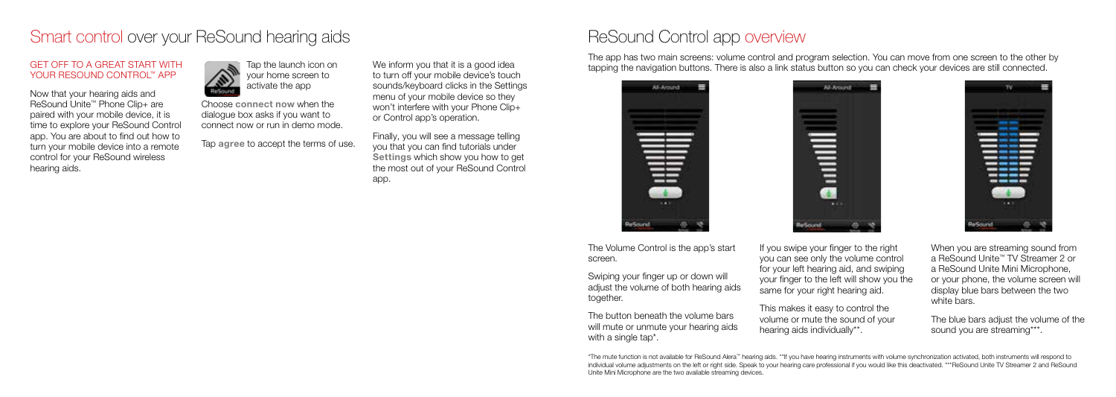### Smart control over your ReSound hearing aids

### GET OFF TO A GREAT START WITH YOUR RESOUND CONTROL™ APP

Now that your hearing aids and ReSound Unite™ Phone Clip+ are paired with your mobile device, it is time to explore your ReSound Control app. You are about to find out how to turn your mobile device into a remote control for your ReSound wireless hearing aids.



Choose connect now when the dialogue box asks if you want to connect now or run in demo mode.

Tap agree to accept the terms of use.

We inform you that it is a good idea to turn off your mobile device's touch sounds/keyboard clicks in the Settings menu of your mobile device so they won't interfere with your Phone Clip+ or Control app's operation.

Finally, you will see a message telling you that you can find tutorials under Settings which show you how to get the most out of your ReSound Control app.

### ReSound Control app overview

The app has two main screens: volume control and program selection. You can move from one screen to the other by tapping the navigation buttons. There is also a link status button so you can check your devices are still connected.

 $\bullet$  and  $\parallel$ 

**Take** 

At-Amind



The Volume Control is the app's start screen.

Swiping your finger up or down will adjust the volume of both hearing aids together.

The button beneath the volume bars will mute or unmute your hearing aids with a single tap<sup>\*</sup>.

If you swipe your finger to the right you can see only the volume control for your left hearing aid, and swiping your finger to the left will show you the same for your right hearing aid.

This makes it easy to control the volume or mute the sound of your hearing aids individually\*\*.



When you are streaming sound from a ReSound Unite™ TV Streamer 2 or a ReSound Unite Mini Microphone, or your phone, the volume screen will display blue bars between the two white bars.

The blue bars adjust the volume of the sound you are streaming\*\*\*.

\*The mute function is not available for ReSound Alera™ hearing aids. \*\*If you have hearing instruments with volume synchronization activated, both instruments will respond to individual volume adjustments on the left or right side. Speak to your hearing care professional if you would like this deactivated. \*\*\*ReSound Unite TV Streamer 2 and ReSound Unite Mini Microphone are the two available streaming devices.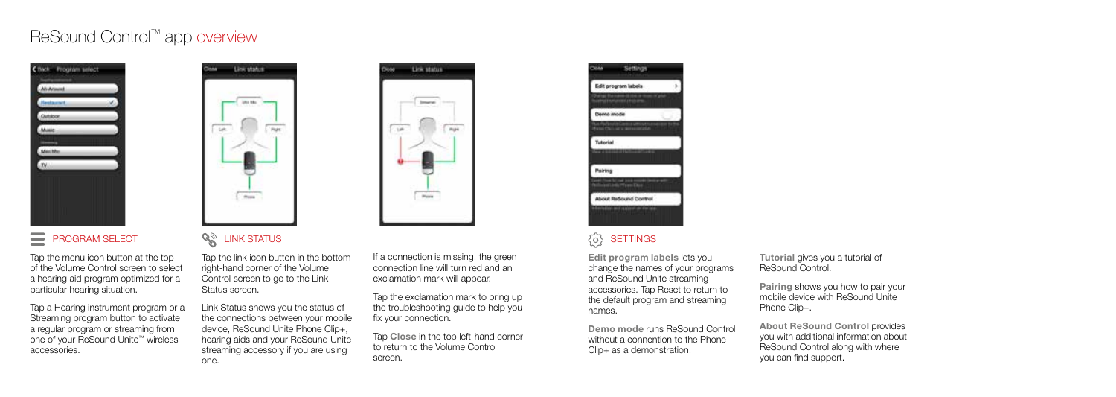## ReSound Control™ app overview



### PROGRAM SELECT

Tap the menu icon button at the top of the Volume Control screen to select a hearing aid program optimized for a particular hearing situation.

Tap a Hearing instrument program or a Streaming program button to activate a regular program or streaming from one of your ReSound Unite™ wireless accessories.



### **SAN LINK STATUS**

Tap the link icon button in the bottom right-hand corner of the Volume Control screen to go to the Link Status screen.

Link Status shows you the status of the connections between your mobile device, ReSound Unite Phone Clip+, hearing aids and your ReSound Unite streaming accessory if you are using one.

If a connection is missing, the green connection line will turn red and an exclamation mark will appear.

**Link status** 

**Service** 

 $rac{1}{2}$ 

 $\frac{1}{2}$ 

Tap the exclamation mark to bring up the troubleshooting guide to help you fix your connection.

Tap Close in the top left-hand corner to return to the Volume Control screen.



### **SETTINGS**

Edit program labels lets you change the names of your programs and ReSound Unite streaming accessories. Tap Reset to return to the default program and streaming names.

Demo mode runs ReSound Control without a connention to the Phone Clip+ as a demonstration.

Tutorial gives you a tutorial of ReSound Control.

Pairing shows you how to pair your mobile device with ReSound Unite Phone Clip+.

About ReSound Control provides you with additional information about ReSound Control along with where you can find support.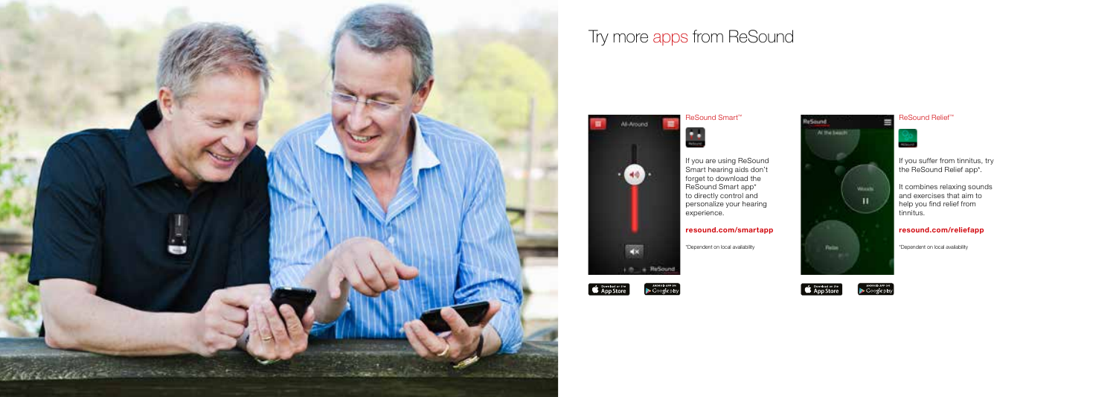

## Try more apps from ReSound



If you are using ReSound Smart hearing aids don't forget to download the ReSound Smart app\* to directly control and personalize your hearing experience.

#### resound.com/smartapp

\*Dependent on local availability





**Mounts** 

If you suffer from tinnitus, try the ReSound Relief app\*.

ReSound Relief™

**CONTRACTOR** 

It combines relaxing sounds and exercises that aim to help you find relief from tinnitus.



\*Dependent on local availability



: Notae